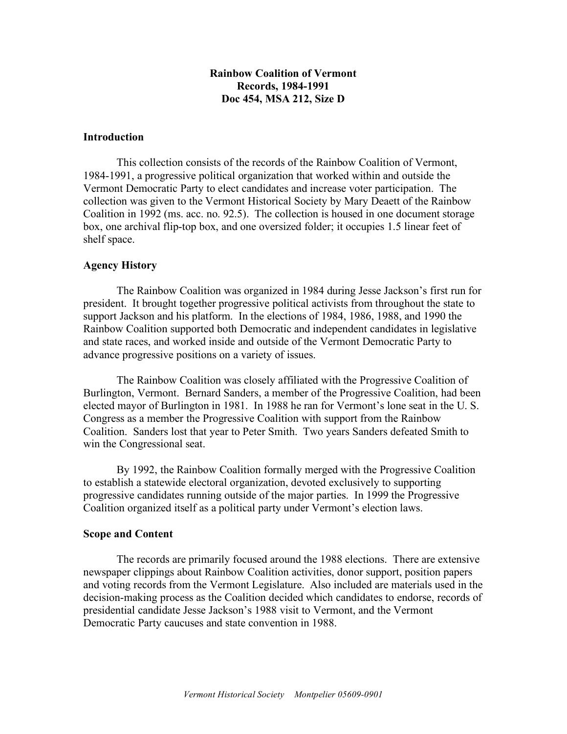# **Rainbow Coalition of Vermont Records, 1984-1991 Doc 454, MSA 212, Size D**

### **Introduction**

This collection consists of the records of the Rainbow Coalition of Vermont, 1984-1991, a progressive political organization that worked within and outside the Vermont Democratic Party to elect candidates and increase voter participation. The collection was given to the Vermont Historical Society by Mary Deaett of the Rainbow Coalition in 1992 (ms. acc. no. 92.5). The collection is housed in one document storage box, one archival flip-top box, and one oversized folder; it occupies 1.5 linear feet of shelf space.

# **Agency History**

The Rainbow Coalition was organized in 1984 during Jesse Jackson's first run for president. It brought together progressive political activists from throughout the state to support Jackson and his platform. In the elections of 1984, 1986, 1988, and 1990 the Rainbow Coalition supported both Democratic and independent candidates in legislative and state races, and worked inside and outside of the Vermont Democratic Party to advance progressive positions on a variety of issues.

The Rainbow Coalition was closely affiliated with the Progressive Coalition of Burlington, Vermont. Bernard Sanders, a member of the Progressive Coalition, had been elected mayor of Burlington in 1981. In 1988 he ran for Vermont's lone seat in the U. S. Congress as a member the Progressive Coalition with support from the Rainbow Coalition. Sanders lost that year to Peter Smith. Two years Sanders defeated Smith to win the Congressional seat.

By 1992, the Rainbow Coalition formally merged with the Progressive Coalition to establish a statewide electoral organization, devoted exclusively to supporting progressive candidates running outside of the major parties. In 1999 the Progressive Coalition organized itself as a political party under Vermont's election laws.

### **Scope and Content**

The records are primarily focused around the 1988 elections. There are extensive newspaper clippings about Rainbow Coalition activities, donor support, position papers and voting records from the Vermont Legislature. Also included are materials used in the decision-making process as the Coalition decided which candidates to endorse, records of presidential candidate Jesse Jackson's 1988 visit to Vermont, and the Vermont Democratic Party caucuses and state convention in 1988.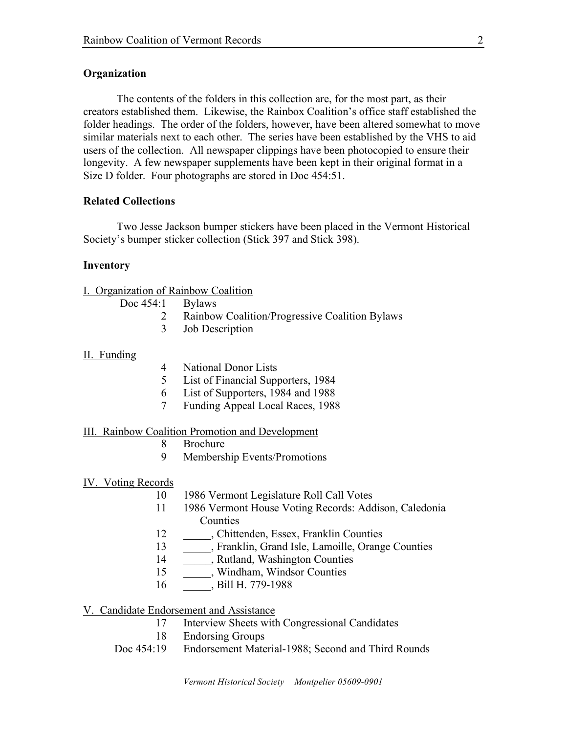# **Organization**

The contents of the folders in this collection are, for the most part, as their creators established them. Likewise, the Rainbox Coalition's office staff established the folder headings. The order of the folders, however, have been altered somewhat to move similar materials next to each other. The series have been established by the VHS to aid users of the collection. All newspaper clippings have been photocopied to ensure their longevity. A few newspaper supplements have been kept in their original format in a Size D folder. Four photographs are stored in Doc 454:51.

### **Related Collections**

Two Jesse Jackson bumper stickers have been placed in the Vermont Historical Society's bumper sticker collection (Stick 397 and Stick 398).

#### **Inventory**

# I. Organization of Rainbow Coalition

| Doc 454:1 | <b>Bylaws</b> |
|-----------|---------------|
|-----------|---------------|

- 2 Rainbow Coalition/Progressive Coalition Bylaws
- 3 Job Description

#### II. Funding

- 4 National Donor Lists
- 5 List of Financial Supporters, 1984
- 6 List of Supporters, 1984 and 1988
- 7 Funding Appeal Local Races, 1988

### III. Rainbow Coalition Promotion and Development

- 8 Brochure
- 9 Membership Events/Promotions

#### IV. Voting Records

- 10 1986 Vermont Legislature Roll Call Votes
- 11 1986 Vermont House Voting Records: Addison, Caledonia Counties
- 12 \_\_\_\_\_, Chittenden, Essex, Franklin Counties
- 13 \_\_\_\_\_, Franklin, Grand Isle, Lamoille, Orange Counties
- 14 \_\_\_\_\_\_, Rutland, Washington Counties
- 15 \_\_\_\_\_\_, Windham, Windsor Counties
- 16 . Bill H. 779-1988

V. Candidate Endorsement and Assistance

- 17 Interview Sheets with Congressional Candidates
- 18 Endorsing Groups
- Doc 454:19 Endorsement Material-1988; Second and Third Rounds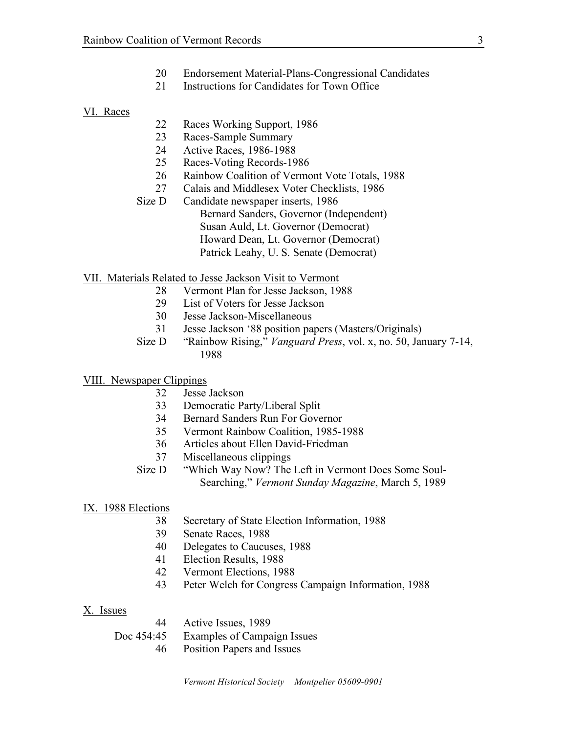- Endorsement Material-Plans-Congressional Candidates
- Instructions for Candidates for Town Office

#### VI. Races

- 22 Races Working Support, 1986
- Races-Sample Summary
- Active Races, 1986-1988
- Races-Voting Records-1986
- Rainbow Coalition of Vermont Vote Totals, 1988
- Calais and Middlesex Voter Checklists, 1986
- Size D Candidate newspaper inserts, 1986 Bernard Sanders, Governor (Independent) Susan Auld, Lt. Governor (Democrat) Howard Dean, Lt. Governor (Democrat) Patrick Leahy, U. S. Senate (Democrat)
- VII. Materials Related to Jesse Jackson Visit to Vermont
	- Vermont Plan for Jesse Jackson, 1988
	- List of Voters for Jesse Jackson
	- Jesse Jackson-Miscellaneous
	- Jesse Jackson '88 position papers (Masters/Originals)
	- Size D "Rainbow Rising," *Vanguard Press*, vol. x, no. 50, January 7-14,
- VIII. Newspaper Clippings
	- Jesse Jackson
	- Democratic Party/Liberal Split
	- Bernard Sanders Run For Governor
	- Vermont Rainbow Coalition, 1985-1988
	- Articles about Ellen David-Friedman
	- Miscellaneous clippings
	- Size D "Which Way Now? The Left in Vermont Does Some Soul-Searching," *Vermont Sunday Magazine*, March 5, 1989

### IX. 1988 Elections

- Secretary of State Election Information, 1988
- Senate Races, 1988
- Delegates to Caucuses, 1988
- Election Results, 1988
- Vermont Elections, 1988
- Peter Welch for Congress Campaign Information, 1988

# X. Issues

| 44         | Active Issues, 1989         |
|------------|-----------------------------|
| Doc 454:45 | Examples of Campaign Issues |
| 46.        | Position Papers and Issues  |